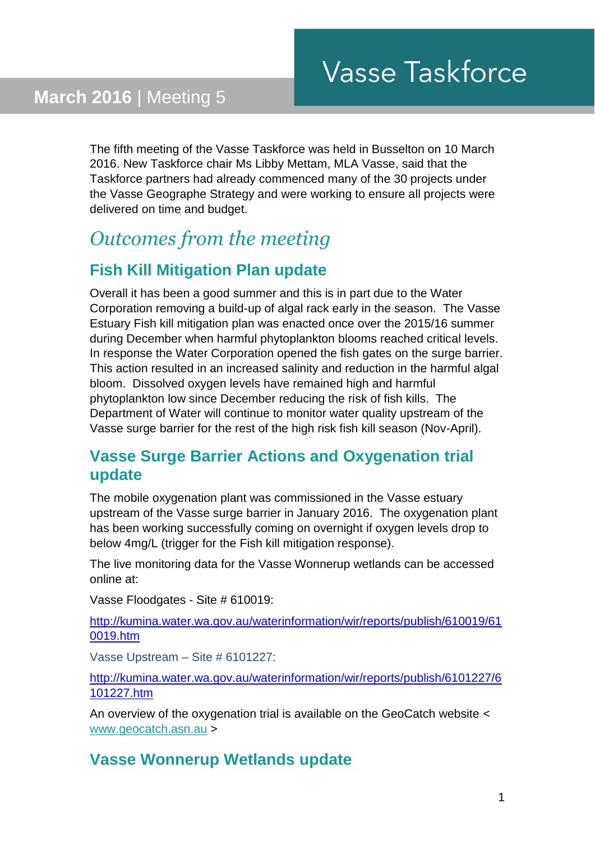The fifth meeting of the Vasse Taskforce was held in Busselton on 10 March 2016. New Taskforce chair Ms Libby Mettam, MLA Vasse, said that the Taskforce partners had already commenced many of the 30 projects under the Vasse Geographe Strategy and were working to ensure all projects were delivered on time and budget.

## *Outcomes from the meeting*

## **Fish Kill Mitigation Plan update**

Overall it has been a good summer and this is in part due to the Water Corporation removing a build-up of algal rack early in the season. The Vasse Estuary Fish kill mitigation plan was enacted once over the 2015/16 summer during December when harmful phytoplankton blooms reached critical levels. In response the Water Corporation opened the fish gates on the surge barrier. This action resulted in an increased salinity and reduction in the harmful algal bloom. Dissolved oxygen levels have remained high and harmful phytoplankton low since December reducing the risk of fish kills. The Department of Water will continue to monitor water quality upstream of the Vasse surge barrier for the rest of the high risk fish kill season (Nov-April).

#### **Vasse Surge Barrier Actions and Oxygenation trial update**

The mobile oxygenation plant was commissioned in the Vasse estuary upstream of the Vasse surge barrier in January 2016. The oxygenation plant has been working successfully coming on overnight if oxygen levels drop to below 4mg/L (trigger for the Fish kill mitigation response).

The live monitoring data for the Vasse Wonnerup wetlands can be accessed online at:

Vasse Floodgates - Site # 610019:

[http://kumina.water.wa.gov.au/waterinformation/wir/reports/publish/610019/61](http://kumina.water.wa.gov.au/waterinformation/wir/reports/publish/610019/610019.htm) [0019.htm](http://kumina.water.wa.gov.au/waterinformation/wir/reports/publish/610019/610019.htm)

Vasse Upstream – Site # 6101227:

[http://kumina.water.wa.gov.au/waterinformation/wir/reports/publish/6101227/6](http://kumina.water.wa.gov.au/waterinformation/wir/reports/publish/6101227/6101227.htm) [101227.htm](http://kumina.water.wa.gov.au/waterinformation/wir/reports/publish/6101227/6101227.htm)

An overview of the oxygenation trial is available on the GeoCatch website < [www.geocatch.asn.au](http://www.geocatch.asn.au/) >

#### **Vasse Wonnerup Wetlands update**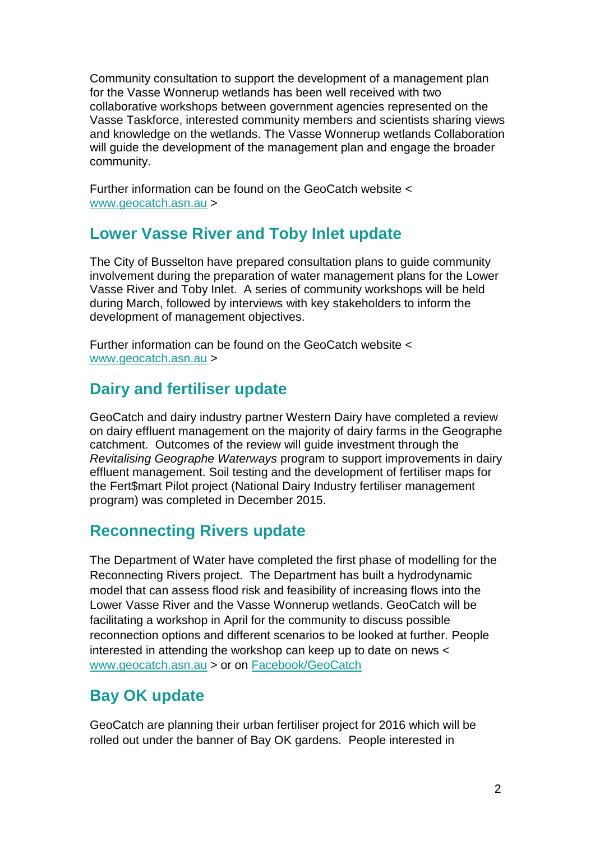Community consultation to support the development of a management plan for the Vasse Wonnerup wetlands has been well received with two collaborative workshops between government agencies represented on the Vasse Taskforce, interested community members and scientists sharing views and knowledge on the wetlands. The Vasse Wonnerup wetlands Collaboration will guide the development of the management plan and engage the broader community.

Further information can be found on the GeoCatch website < [www.geocatch.asn.au](http://www.geocatch.asn.au/) >

#### **Lower Vasse River and Toby Inlet update**

The City of Busselton have prepared consultation plans to guide community involvement during the preparation of water management plans for the Lower Vasse River and Toby Inlet. A series of community workshops will be held during March, followed by interviews with key stakeholders to inform the development of management objectives.

Further information can be found on the GeoCatch website < [www.geocatch.asn.au](http://www.geocatch.asn.au/) >

## **Dairy and fertiliser update**

GeoCatch and dairy industry partner Western Dairy have completed a review on dairy effluent management on the majority of dairy farms in the Geographe catchment. Outcomes of the review will guide investment through the *Revitalising Geographe Waterways* program to support improvements in dairy effluent management. Soil testing and the development of fertiliser maps for the Fert\$mart Pilot project (National Dairy Industry fertiliser management program) was completed in December 2015.

#### **Reconnecting Rivers update**

The Department of Water have completed the first phase of modelling for the Reconnecting Rivers project. The Department has built a hydrodynamic model that can assess flood risk and feasibility of increasing flows into the Lower Vasse River and the Vasse Wonnerup wetlands. GeoCatch will be facilitating a workshop in April for the community to discuss possible reconnection options and different scenarios to be looked at further. People interested in attending the workshop can keep up to date on news < [www.geocatch.asn.au](http://www.geocatch.asn.au/) > or on [Facebook/GeoCatch](http://departmentofwater.createsend1.com/t/t-l-thhddhk-l-i/)

## **Bay OK update**

GeoCatch are planning their urban fertiliser project for 2016 which will be rolled out under the banner of Bay OK gardens. People interested in